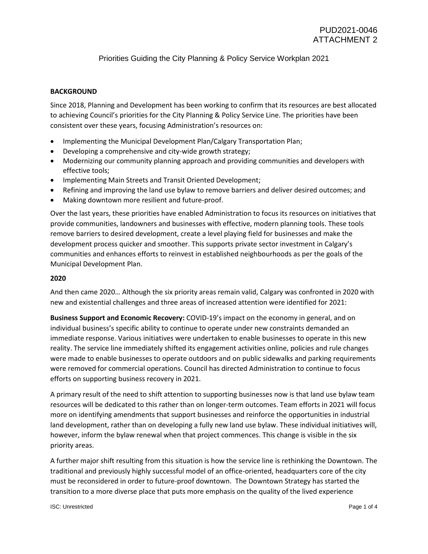# Priorities Guiding the City Planning & Policy Service Workplan 2021

#### **BACKGROUND**

Since 2018, Planning and Development has been working to confirm that its resources are best allocated to achieving Council's priorities for the City Planning & Policy Service Line. The priorities have been consistent over these years, focusing Administration's resources on:

- Implementing the Municipal Development Plan/Calgary Transportation Plan;
- Developing a comprehensive and city-wide growth strategy;
- Modernizing our community planning approach and providing communities and developers with effective tools;
- Implementing Main Streets and Transit Oriented Development;
- Refining and improving the land use bylaw to remove barriers and deliver desired outcomes; and
- Making downtown more resilient and future-proof.

Over the last years, these priorities have enabled Administration to focus its resources on initiatives that provide communities, landowners and businesses with effective, modern planning tools. These tools remove barriers to desired development, create a level playing field for businesses and make the development process quicker and smoother. This supports private sector investment in Calgary's communities and enhances efforts to reinvest in established neighbourhoods as per the goals of the Municipal Development Plan.

#### **2020**

And then came 2020… Although the six priority areas remain valid, Calgary was confronted in 2020 with new and existential challenges and three areas of increased attention were identified for 2021:

**Business Support and Economic Recovery:** COVID-19's impact on the economy in general, and on individual business's specific ability to continue to operate under new constraints demanded an immediate response. Various initiatives were undertaken to enable businesses to operate in this new reality. The service line immediately shifted its engagement activities online, policies and rule changes were made to enable businesses to operate outdoors and on public sidewalks and parking requirements were removed for commercial operations. Council has directed Administration to continue to focus efforts on supporting business recovery in 2021.

A primary result of the need to shift attention to supporting businesses now is that land use bylaw team resources will be dedicated to this rather than on longer-term outcomes. Team efforts in 2021 will focus more on identifying amendments that support businesses and reinforce the opportunities in industrial land development, rather than on developing a fully new land use bylaw. These individual initiatives will, however, inform the bylaw renewal when that project commences. This change is visible in the six priority areas.

A further major shift resulting from this situation is how the service line is rethinking the Downtown. The traditional and previously highly successful model of an office-oriented, headquarters core of the city must be reconsidered in order to future-proof downtown. The Downtown Strategy has started the transition to a more diverse place that puts more emphasis on the quality of the lived experience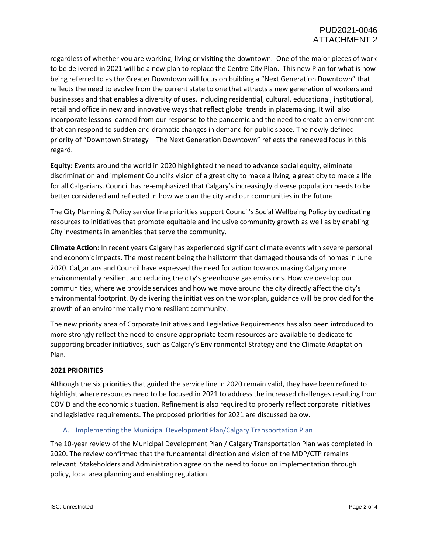regardless of whether you are working, living or visiting the downtown. One of the major pieces of work to be delivered in 2021 will be a new plan to replace the Centre City Plan. This new Plan for what is now being referred to as the Greater Downtown will focus on building a "Next Generation Downtown" that reflects the need to evolve from the current state to one that attracts a new generation of workers and businesses and that enables a diversity of uses, including residential, cultural, educational, institutional, retail and office in new and innovative ways that reflect global trends in placemaking. It will also incorporate lessons learned from our response to the pandemic and the need to create an environment that can respond to sudden and dramatic changes in demand for public space. The newly defined priority of "Downtown Strategy – The Next Generation Downtown" reflects the renewed focus in this regard.

**Equity:** Events around the world in 2020 highlighted the need to advance social equity, eliminate discrimination and implement Council's vision of a great city to make a living, a great city to make a life for all Calgarians. Council has re-emphasized that Calgary's increasingly diverse population needs to be better considered and reflected in how we plan the city and our communities in the future.

The City Planning & Policy service line priorities support Council's Social Wellbeing Policy by dedicating resources to initiatives that promote equitable and inclusive community growth as well as by enabling City investments in amenities that serve the community.

**Climate Action:** In recent years Calgary has experienced significant climate events with severe personal and economic impacts. The most recent being the hailstorm that damaged thousands of homes in June 2020. Calgarians and Council have expressed the need for action towards making Calgary more environmentally resilient and reducing the city's greenhouse gas emissions. How we develop our communities, where we provide services and how we move around the city directly affect the city's environmental footprint. By delivering the initiatives on the workplan, guidance will be provided for the growth of an environmentally more resilient community.

The new priority area of Corporate Initiatives and Legislative Requirements has also been introduced to more strongly reflect the need to ensure appropriate team resources are available to dedicate to supporting broader initiatives, such as Calgary's Environmental Strategy and the Climate Adaptation Plan.

### **2021 PRIORITIES**

Although the six priorities that guided the service line in 2020 remain valid, they have been refined to highlight where resources need to be focused in 2021 to address the increased challenges resulting from COVID and the economic situation. Refinement is also required to properly reflect corporate initiatives and legislative requirements. The proposed priorities for 2021 are discussed below.

### A. Implementing the Municipal Development Plan/Calgary Transportation Plan

The 10-year review of the Municipal Development Plan / Calgary Transportation Plan was completed in 2020. The review confirmed that the fundamental direction and vision of the MDP/CTP remains relevant. Stakeholders and Administration agree on the need to focus on implementation through policy, local area planning and enabling regulation.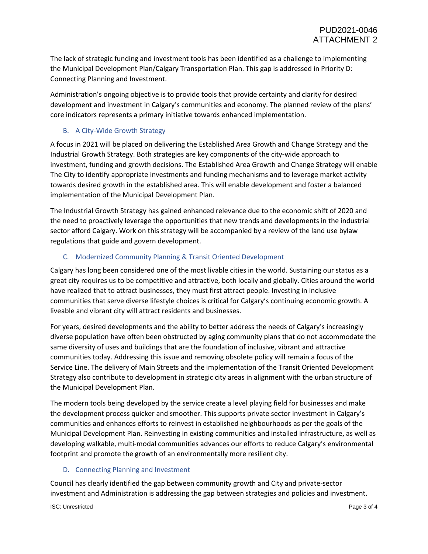The lack of strategic funding and investment tools has been identified as a challenge to implementing the Municipal Development Plan/Calgary Transportation Plan. This gap is addressed in Priority D: Connecting Planning and Investment.

Administration's ongoing objective is to provide tools that provide certainty and clarity for desired development and investment in Calgary's communities and economy. The planned review of the plans' core indicators represents a primary initiative towards enhanced implementation.

# B. A City-Wide Growth Strategy

A focus in 2021 will be placed on delivering the Established Area Growth and Change Strategy and the Industrial Growth Strategy. Both strategies are key components of the city-wide approach to investment, funding and growth decisions. The Established Area Growth and Change Strategy will enable The City to identify appropriate investments and funding mechanisms and to leverage market activity towards desired growth in the established area. This will enable development and foster a balanced implementation of the Municipal Development Plan.

The Industrial Growth Strategy has gained enhanced relevance due to the economic shift of 2020 and the need to proactively leverage the opportunities that new trends and developments in the industrial sector afford Calgary. Work on this strategy will be accompanied by a review of the land use bylaw regulations that guide and govern development.

# C. Modernized Community Planning & Transit Oriented Development

Calgary has long been considered one of the most livable cities in the world. Sustaining our status as a great city requires us to be competitive and attractive, both locally and globally. Cities around the world have realized that to attract businesses, they must first attract people. Investing in inclusive communities that serve diverse lifestyle choices is critical for Calgary's continuing economic growth. A liveable and vibrant city will attract residents and businesses.

For years, desired developments and the ability to better address the needs of Calgary's increasingly diverse population have often been obstructed by aging community plans that do not accommodate the same diversity of uses and buildings that are the foundation of inclusive, vibrant and attractive communities today. Addressing this issue and removing obsolete policy will remain a focus of the Service Line. The delivery of Main Streets and the implementation of the Transit Oriented Development Strategy also contribute to development in strategic city areas in alignment with the urban structure of the Municipal Development Plan.

The modern tools being developed by the service create a level playing field for businesses and make the development process quicker and smoother. This supports private sector investment in Calgary's communities and enhances efforts to reinvest in established neighbourhoods as per the goals of the Municipal Development Plan. Reinvesting in existing communities and installed infrastructure, as well as developing walkable, multi-modal communities advances our efforts to reduce Calgary's environmental footprint and promote the growth of an environmentally more resilient city.

# D. Connecting Planning and Investment

Council has clearly identified the gap between community growth and City and private-sector investment and Administration is addressing the gap between strategies and policies and investment.